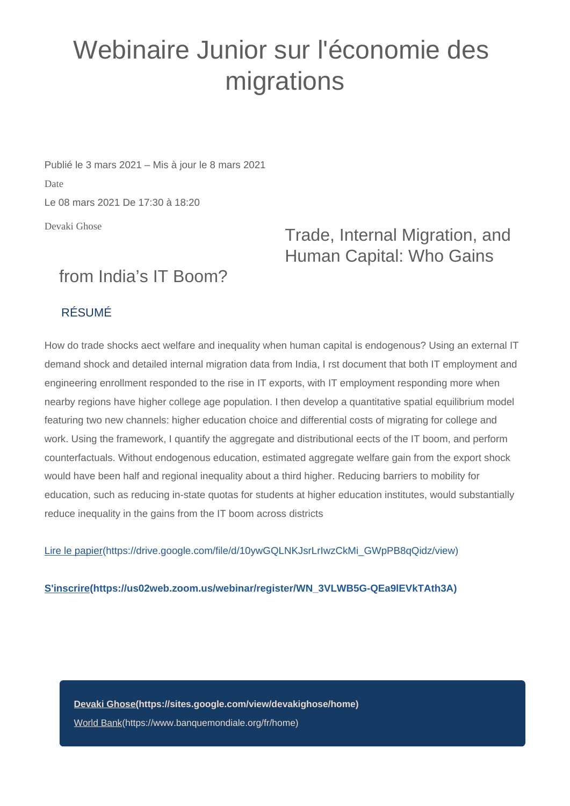## Webinaire Junior sur l'économie des migrations

Publié le 3 mars 2021 – Mis à jour le 8 mars 2021 Date Le 08 mars 2021 De 17:30 à 18:20

Devaki Ghose

## Trade, Internal Migration, and Human Capital: Who Gains

## from India's IT Boom?

## RÉSUMÉ

How do trade shocks aect welfare and inequality when human capital is endogenous? Using an external IT demand shock and detailed internal migration data from India, I rst document that both IT employment and engineering enrollment responded to the rise in IT exports, with IT employment responding more when nearby regions have higher college age population. I then develop a quantitative spatial equilibrium model featuring two new channels: higher education choice and differential costs of migrating for college and work. Using the framework, I quantify the aggregate and distributional eects of the IT boom, and perform counterfactuals. Without endogenous education, estimated aggregate welfare gain from the export shock would have been half and regional inequality about a third higher. Reducing barriers to mobility for education, such as reducing in-state quotas for students at higher education institutes, would substantially reduce inequality in the gains from the IT boom across districts

[Lire le papier\(https://drive.google.com/file/d/10ywGQLNKJsrLrIwzCkMi\\_GWpPB8qQidz/view\)](https://drive.google.com/file/d/10ywGQLNKJsrLrIwzCkMi_GWpPB8qQidz/view)

**[S'inscrire\(https://us02web.zoom.us/webinar/register/WN\\_3VLWB5G-QEa9lEVkTAth3A\)](https://us02web.zoom.us/webinar/register/WN_3VLWB5G-QEa9lEVkTAth3A)**

**[Devaki Ghose\(https://sites.google.com/view/devakighose/home\)](https://sites.google.com/view/devakighose/home)** [World Bank\(https://www.banquemondiale.org/fr/home\)](https://www.banquemondiale.org/fr/home)